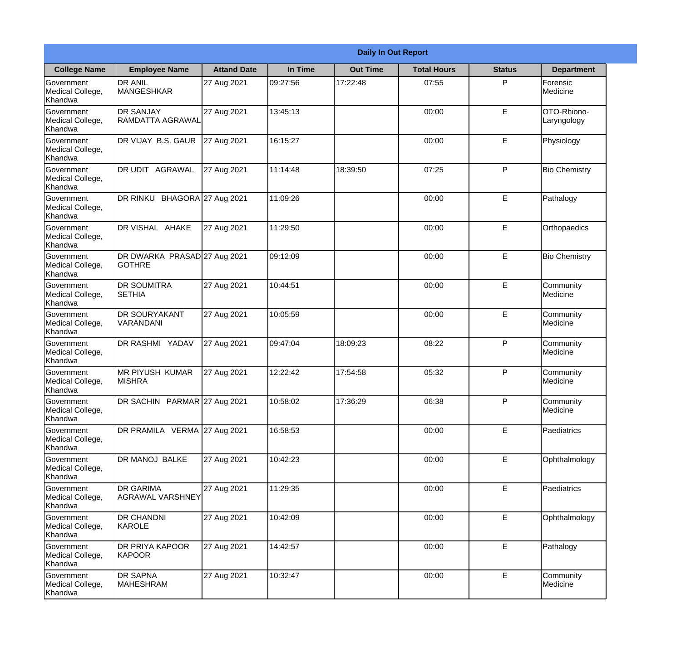|                                                  |                                               |                    |          | <b>Daily In Out Report</b> |                    |               |                                |
|--------------------------------------------------|-----------------------------------------------|--------------------|----------|----------------------------|--------------------|---------------|--------------------------------|
| <b>College Name</b>                              | <b>Employee Name</b>                          | <b>Attand Date</b> | In Time  | <b>Out Time</b>            | <b>Total Hours</b> | <b>Status</b> | <b>Department</b>              |
| Government<br>Medical College,<br>Khandwa        | <b>DR ANIL</b><br><b>MANGESHKAR</b>           | 27 Aug 2021        | 09:27:56 | 17:22:48                   | 07:55              | P             | Forensic<br><b>Medicine</b>    |
| Government<br>Medical College,<br>Khandwa        | <b>DR SANJAY</b><br>RAMDATTA AGRAWAL          | 27 Aug 2021        | 13:45:13 |                            | 00:00              | E             | OTO-Rhiono-<br>Laryngology     |
| <b>Government</b><br>Medical College,<br>Khandwa | DR VIJAY B.S. GAUR                            | 27 Aug 2021        | 16:15:27 |                            | 00:00              | E             | Physiology                     |
| Government<br>Medical College,<br>Khandwa        | <b>DR UDIT AGRAWAL</b>                        | 27 Aug 2021        | 11:14:48 | 18:39:50                   | 07:25              | P             | <b>Bio Chemistry</b>           |
| Government<br>Medical College,<br>Khandwa        | DR RINKU BHAGORA 27 Aug 2021                  |                    | 11:09:26 |                            | 00:00              | E             | Pathalogy                      |
| Government<br>Medical College,<br>Khandwa        | DR VISHAL AHAKE                               | 27 Aug 2021        | 11:29:50 |                            | 00:00              | E             | Orthopaedics                   |
| Government<br>Medical College,<br>Khandwa        | DR DWARKA PRASAD 27 Aug 2021<br><b>GOTHRE</b> |                    | 09:12:09 |                            | 00:00              | E             | <b>Bio Chemistry</b>           |
| Government<br>Medical College,<br>Khandwa        | <b>DR SOUMITRA</b><br><b>SETHIA</b>           | 27 Aug 2021        | 10:44:51 |                            | 00:00              | E             | Community<br><b>I</b> Medicine |
| <b>Government</b><br>Medical College,<br>Khandwa | <b>DR SOURYAKANT</b><br>VARANDANI             | 27 Aug 2021        | 10:05:59 |                            | 00:00              | E             | Community<br>Medicine          |
| Government<br>Medical College,<br>Khandwa        | <b>DR RASHMI YADAV</b>                        | 27 Aug 2021        | 09:47:04 | 18:09:23                   | 08:22              | P             | Community<br>Medicine          |
| Government<br>Medical College,<br>Khandwa        | <b>MR PIYUSH KUMAR</b><br><b>MISHRA</b>       | 27 Aug 2021        | 12:22:42 | 17:54:58                   | 05:32              | P             | Community<br>Medicine          |
| Government<br>Medical College,<br>Khandwa        | DR SACHIN PARMAR 27 Aug 2021                  |                    | 10:58:02 | 17:36:29                   | 06:38              | P             | Community<br>Medicine          |
| Government<br>Medical College,<br>Khandwa        | DR PRAMILA VERMA 27 Aug 2021                  |                    | 16:58:53 |                            | 00:00              | E             | Paediatrics                    |
| Government<br>Medical College,<br>Khandwa        | DR MANOJ BALKE                                | 27 Aug 2021        | 10:42:23 |                            | 00:00              | E             | Ophthalmology                  |
| Government<br>Medical College,<br>Khandwa        | <b>IDR GARIMA</b><br>AGRAWAL VARSHNEY         | 27 Aug 2021        | 11:29:35 |                            | 00:00              | E             | Paediatrics                    |
| Government<br>Medical College,<br>Khandwa        | <b>DR CHANDNI</b><br>KAROLE                   | 27 Aug 2021        | 10:42:09 |                            | 00:00              | $\mathsf E$   | Ophthalmology                  |
| Government<br>Medical College,<br>Khandwa        | <b>DR PRIYA KAPOOR</b><br>KAPOOR              | 27 Aug 2021        | 14:42:57 |                            | 00:00              | E             | Pathalogy                      |
| Government<br>Medical College,<br>Khandwa        | <b>DR SAPNA</b><br>MAHESHRAM                  | 27 Aug 2021        | 10:32:47 |                            | 00:00              | E             | Community<br>Medicine          |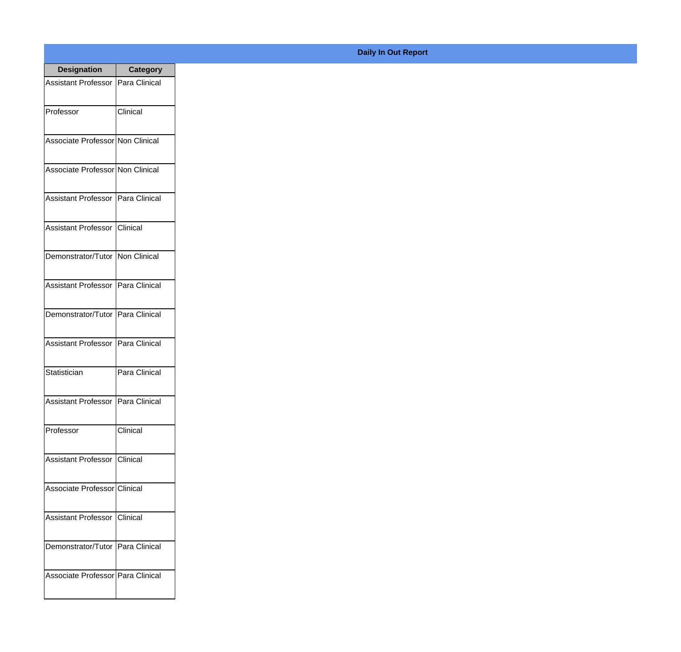| <b>Designation</b>                  | Category      |
|-------------------------------------|---------------|
| Assistant Professor   Para Clinical |               |
| Professor                           | Clinical      |
| Associate Professor Non Clinical    |               |
| Associate Professor Non Clinical    |               |
| <b>Assistant Professor</b>          | Para Clinical |
| Assistant Professor   Clinical      |               |
| Demonstrator/Tutor   Non Clinical   |               |
| Assistant Professor   Para Clinical |               |
| Demonstrator/Tutor   Para Clinical  |               |
| <b>Assistant Professor</b>          | Para Clinical |
| Statistician                        | Para Clinical |
| Assistant Professor   Para Clinical |               |
| Professor                           | Clinical      |
| Assistant Professor   Clinical      |               |
| Associate Professor Clinical        |               |
| <b>Assistant Professor</b>          | Clinical      |
| Demonstrator/Tutor   Para Clinical  |               |
| Associate Professor Para Clinical   |               |

## **Daily In Out Report**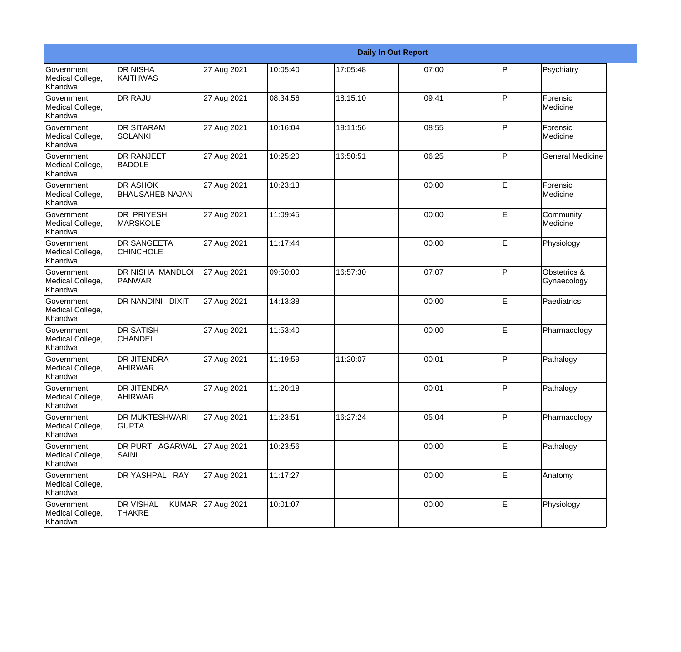|                                                  |                                                   |             |          |          | <b>Daily In Out Report</b> |    |                             |
|--------------------------------------------------|---------------------------------------------------|-------------|----------|----------|----------------------------|----|-----------------------------|
| Government<br>Medical College,<br>Khandwa        | <b>DR NISHA</b><br>IKAITHWAS                      | 27 Aug 2021 | 10:05:40 | 17:05:48 | 07:00                      | P  | Psychiatry                  |
| <b>Government</b><br>Medical College,<br>Khandwa | <b>DR RAJU</b>                                    | 27 Aug 2021 | 08:34:56 | 18:15:10 | 09:41                      | P  | Forensic<br>Medicine        |
| Government<br>Medical College,<br>Khandwa        | <b>DR SITARAM</b><br><b>SOLANKI</b>               | 27 Aug 2021 | 10:16:04 | 19:11:56 | 08:55                      | P  | Forensic<br>Medicine        |
| Government<br>Medical College,<br>Khandwa        | <b>DR RANJEET</b><br><b>BADOLE</b>                | 27 Aug 2021 | 10:25:20 | 16:50:51 | 06:25                      | P  | <b>General Medicine</b>     |
| <b>Government</b><br>Medical College,<br>Khandwa | <b>DR ASHOK</b><br><b>BHAUSAHEB NAJAN</b>         | 27 Aug 2021 | 10:23:13 |          | 00:00                      | E  | Forensic<br>Medicine        |
| Government<br>Medical College,<br>Khandwa        | <b>DR PRIYESH</b><br><b>MARSKOLE</b>              | 27 Aug 2021 | 11:09:45 |          | 00:00                      | E  | Community<br>Medicine       |
| Government<br>Medical College,<br>Khandwa        | <b>DR SANGEETA</b><br><b>CHINCHOLE</b>            | 27 Aug 2021 | 11:17:44 |          | 00:00                      | E  | Physiology                  |
| Government<br>Medical College,<br>Khandwa        | DR NISHA MANDLOI<br>PANWAR                        | 27 Aug 2021 | 09:50:00 | 16:57:30 | 07:07                      | P  | Obstetrics &<br>Gynaecology |
| <b>Government</b><br>Medical College,<br>Khandwa | DR NANDINI DIXIT                                  | 27 Aug 2021 | 14:13:38 |          | 00:00                      | E  | Paediatrics                 |
| <b>Government</b><br>Medical College,<br>Khandwa | <b>DR SATISH</b><br><b>CHANDEL</b>                | 27 Aug 2021 | 11:53:40 |          | 00:00                      | E  | Pharmacology                |
| <b>Government</b><br>Medical College,<br>Khandwa | <b>DR JITENDRA</b><br><b>AHIRWAR</b>              | 27 Aug 2021 | 11:19:59 | 11:20:07 | 00:01                      | P  | Pathalogy                   |
| Government<br>Medical College,<br>Khandwa        | <b>DR JITENDRA</b><br><b>AHIRWAR</b>              | 27 Aug 2021 | 11:20:18 |          | 00:01                      | P  | Pathalogy                   |
| Government<br>Medical College,<br>Khandwa        | DR MUKTESHWARI<br><b>GUPTA</b>                    | 27 Aug 2021 | 11:23:51 | 16:27:24 | 05:04                      | P  | Pharmacology                |
| Government<br>Medical College,<br>Khandwa        | DR PURTI AGARWAL<br>SAINI                         | 27 Aug 2021 | 10:23:56 |          | 00:00                      | E. | Pathalogy                   |
| Government<br>Medical College,<br>Khandwa        | DR YASHPAL RAY                                    | 27 Aug 2021 | 11:17:27 |          | 00:00                      | E  | Anatomy                     |
| Government<br>Medical College,<br>Khandwa        | <b>KUMAR</b><br><b>DR VISHAL</b><br><b>THAKRE</b> | 27 Aug 2021 | 10:01:07 |          | 00:00                      | E  | Physiology                  |